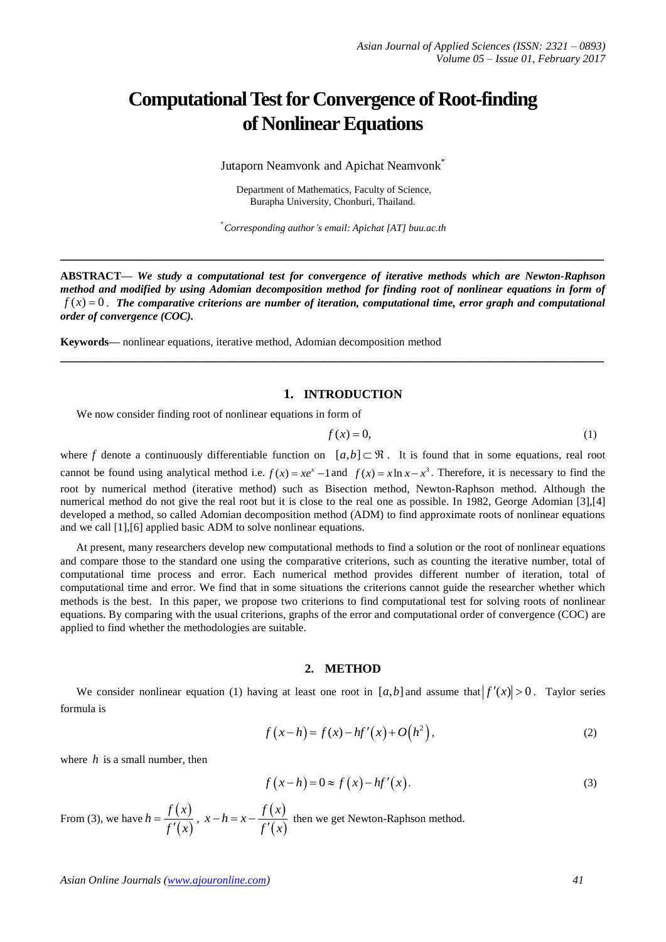# **Computational Test for Convergence of Root-finding of Nonlinear Equations**

Jutaporn Neamvonk and Apichat Neamvonk<sup>\*</sup>

Department of Mathematics, Faculty of Science, Burapha University, Chonburi, Thailand.

\* *Corresponding author's email: Apichat [AT] buu.ac.th*

**\_\_\_\_\_\_\_\_\_\_\_\_\_\_\_\_\_\_\_\_\_\_\_\_\_\_\_\_\_\_\_\_\_\_\_\_\_\_\_\_\_\_\_\_\_\_\_\_\_\_\_\_\_\_\_\_\_\_\_\_\_\_\_\_\_\_\_\_\_\_\_\_\_\_\_\_\_\_\_\_\_**

**ABSTRACT—** *We study a computational test for convergence of iterative methods which are Newton-Raphson method and modified by using Adomian decomposition method for finding root of nonlinear equations in form of*  $f(x) = 0$ . The comparative criterions are number of iteration, computational time, error graph and computational *order of convergence (COC).* 

**\_\_\_\_\_\_\_\_\_\_\_\_\_\_\_\_\_\_\_\_\_\_\_\_\_\_\_\_\_\_\_\_\_\_\_\_\_\_\_\_\_\_\_\_\_\_\_\_\_\_\_\_\_\_\_\_\_\_\_\_\_\_\_\_\_\_\_\_\_\_\_\_\_\_\_\_\_\_\_\_\_**

**Keywords—** nonlinear equations, iterative method, Adomian decomposition method

## **1. INTRODUCTION**

We now consider finding root of nonlinear equations in form of

$$
f(x) = 0,\tag{1}
$$

where f denote a continuously differentiable function on  $[a,b] \subset \mathbb{R}$ . It is found that in some equations, real root cannot be found using analytical method i.e.  $f(x) = xe^x - 1$  and  $f(x) = x \ln x - x^3$ . Therefore, it is necessary to find the root by numerical method (iterative method) such as Bisection method, Newton-Raphson method. Although the numerical method do not give the real root but it is close to the real one as possible. In 1982, George Adomian [3],[4] developed a method, so called Adomian decomposition method (ADM) to find approximate roots of nonlinear equations and we call [1],[6] applied basic ADM to solve nonlinear equations.

At present, many researchers develop new computational methods to find a solution or the root of nonlinear equations and compare those to the standard one using the comparative criterions, such as counting the iterative number, total of computational time process and error. Each numerical method provides different number of iteration, total of computational time and error. We find that in some situations the criterions cannot guide the researcher whether which methods is the best. In this paper, we propose two criterions to find computational test for solving roots of nonlinear equations. By comparing with the usual criterions, graphs of the error and computational order of convergence (COC) are applied to find whether the methodologies are suitable.

#### **2. METHOD**

We consider nonlinear equation (1) having at least one root in  $[a,b]$  and assume that  $|f'(x)| > 0$ . Taylor series formula is

$$
f(x-h) = f(x) - hf'(x) + O(h^2),
$$
 (2)

where  $h$  is a small number, then

$$
f(x-h) = 0 \approx f(x) - hf'(x).
$$
 (3)

From (3), we have  $h = \frac{f(x)}{g(x)}$  $(x)$  $h = \frac{f(x)}{g(x)}$ *f x*  $=$  $\frac{f(x)}{f'(x)}$ ,  $x-h=x-\frac{f(x)}{f'(x)}$  $(x)$  $x-h=x-\frac{f(x)}{f(x)}$ *f x*  $t-h = x - \frac{f'(x)}{f'(x)}$  then we get Newton-Raphson method.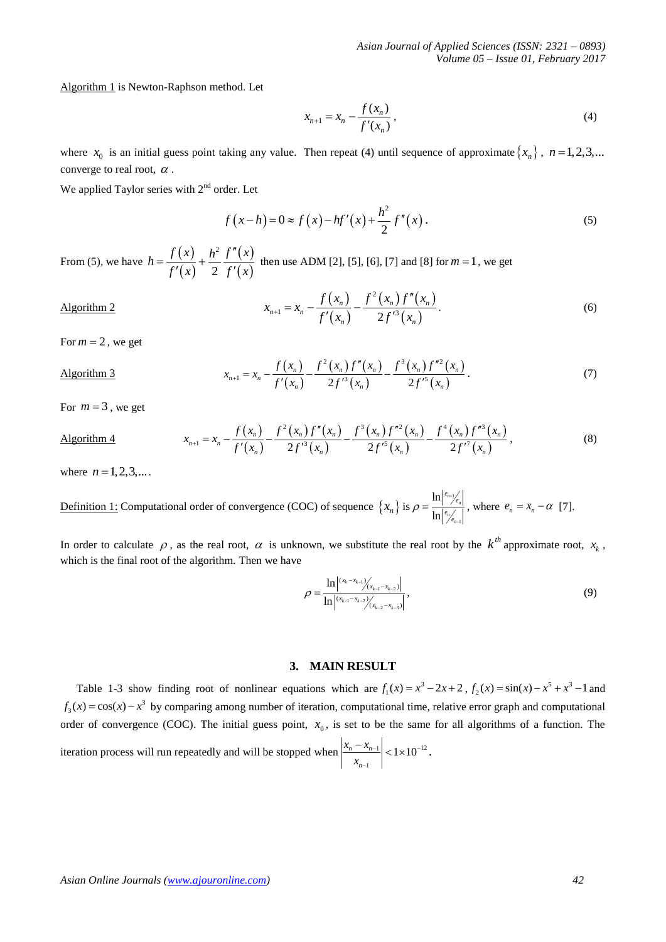Algorithm 1 is Newton-Raphson method. Let

$$
x_{n+1} = x_n - \frac{f(x_n)}{f'(x_n)},
$$
\n(4)

where  $x_0$  is an initial guess point taking any value. Then repeat (4) until sequence of approximate  $\{x_n\}$ ,  $n = 1, 2, 3,...$ converge to real root,  $\alpha$ .

We applied Taylor series with  $2<sup>nd</sup>$  order. Let

$$
f(x-h) = 0 \approx f(x) - hf'(x) + \frac{h^2}{2}f''(x).
$$
 (5)

From (5), we have  $h = \frac{f(x)}{g(x)}$  $(x)$  $(x)$  $(x)$ 2 2  $h = \frac{f(x)}{f'(x)} + \frac{h^2}{2} \frac{f''(x)}{f'(x)}$  $=\frac{f(x)}{g(x)}+\frac{h^2}{2}\frac{f''}{g'}$  $\frac{x^{(1)}(x)}{x^{(1)}} + \frac{x^{(2)}(x)}{2}$  then use ADM [2], [5], [6], [7] and [8] for  $m = 1$ , we get

$$
x_{n+1} = x_n - \frac{f(x_n)}{f'(x_n)} - \frac{f^2(x_n)f''(x_n)}{2f'^3(x_n)}.
$$
 (6)

For  $m = 2$ , we get

Algorithm 2

For 
$$
m = 2
$$
, we get  
\n
$$
x_{n+1} = x_n - \frac{f(x_n)}{f'(x_n)} - \frac{f^2(x_n)f''(x_n)}{2f'^3(x_n)} - \frac{f^3(x_n)f''(x_n)}{2f'^5(x_n)}.
$$
\n(7)

For  $m = 3$ , we get

For 
$$
m = 3
$$
, we get  
\n
$$
x_{n+1} = x_n - \frac{f(x_n)}{f'(x_n)} - \frac{f^2(x_n)f''(x_n)}{2f'^3(x_n)} - \frac{f^3(x_n)f''(x_n)}{2f'^5(x_n)} - \frac{f^4(x_n)f''(x_n)}{2f'^7(x_n)},
$$
\n(8)

where  $n = 1, 2, 3, ...$ 

**Definition 1:** Computational order of convergence (COC) of sequence  $\{x_n\}$  is  $\rho = \frac{\ln |\rho_{n+1}|}{\ln |\rho_{n-1}|}$ 1 ln  $\frac{n+1}{e_n}$ *n n*  $e_{n+1}/e$  $e_{n/2}$  $\rho$  $=\frac{\ln \binom{e_{n+1}}{e_n}}{\ln \binom{e_{n-1}}{e_n}}$ , where  $e_n = x_n - \alpha$  [7]. f

In order to calculate  $\rho$ , as the real root,  $\alpha$  is unknown, we substitute the real root by the  $k^{th}$  approximate root,  $x_k$ , which is the final root of the algorithm. Then we have

$$
\rho = \frac{\ln|^{(x_k - x_{k-1})}/(x_{k-1} - x_{k-2})|}{\ln|^{(x_{k-1} - x_{k-2})}/(x_{k-2} - x_{k-3})|},
$$
\n(9)

# **3. MAIN RESULT**

Table 1-3 show finding root of nonlinear equations which are  $f_1(x) = x^3 - 2x + 2$ ,  $f_2(x) = \sin(x) - x^5 + x^3 - 1$  and  $f_3(x) = cos(x) - x^3$  by comparing among number of iteration, computational time, relative error graph and computational order of convergence (COC). The initial guess point,  $x_0$ , is set to be the same for all algorithms of a function. The iteration process will run repeatedly and will be stopped when  $\left|\frac{x_n}{x_{n-1}}\right|$  < 1×10<sup>-12</sup> 1  $\left| \frac{n - \lambda_{n-1}}{n} \right|$  < 1 × 10 *n*  $x_n - x$ *x*  $-1 > 1 \times 10^{-7}$ i,  $\frac{-x_{n-1}}{x_{n-1}}$  < 1×10<sup>-12</sup>.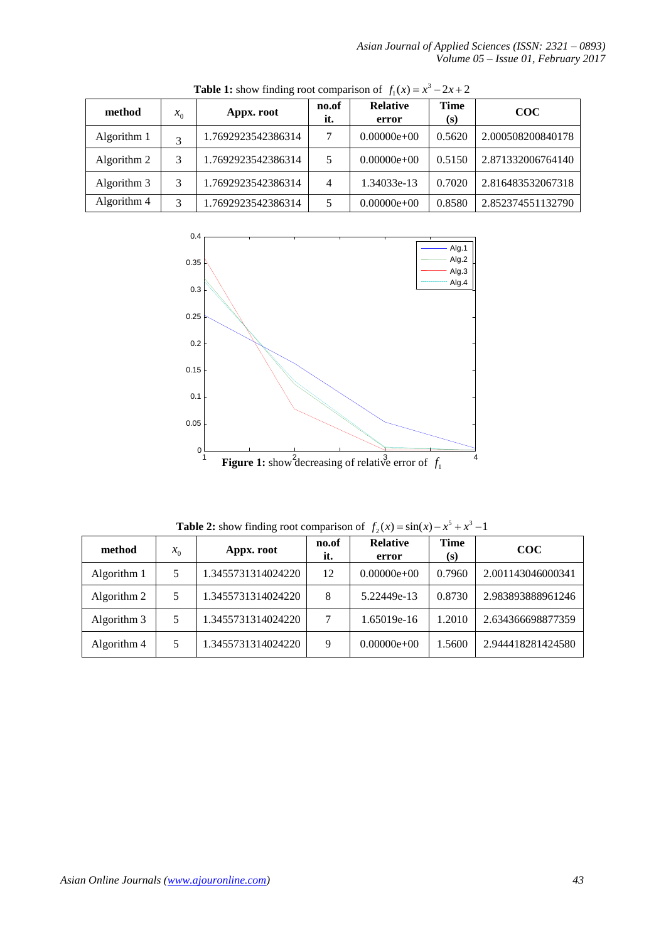*Asian Journal of Applied Sciences (ISSN: 2321 – 0893) Volume 05 – Issue 01, February 2017*

| method      | $x_0$ | Appx. root         | no.of<br>it. | <b>Relative</b><br>error | Time<br>(s) | <b>COC</b>        |
|-------------|-------|--------------------|--------------|--------------------------|-------------|-------------------|
| Algorithm 1 | 3     | 1.7692923542386314 |              | $0.00000e+00$            | 0.5620      | 2.000508200840178 |
| Algorithm 2 | 3     | 1.7692923542386314 |              | $0.00000e+00$            | 0.5150      | 2.871332006764140 |
| Algorithm 3 | 3     | 1.7692923542386314 | 4            | 1.34033e-13              | 0.7020      | 2.816483532067318 |
| Algorithm 4 | 3     | 1.7692923542386314 |              | $0.00000e+00$            | 0.8580      | 2.852374551132790 |

**Table 1:** show finding root comparison of  $f_1(x) = x^3 - 2x + 2$ 



**Table 2:** show finding root comparison of  $f_2(x) = \sin(x) - x^5 + x^3 - 1$ 

| method      | $x_0$ | Appx. root         | no.of<br>it. | <b>Relative</b><br>error | Time<br>(s) | $\rm{COC}$        |
|-------------|-------|--------------------|--------------|--------------------------|-------------|-------------------|
| Algorithm 1 | 5     | 1.3455731314024220 | 12           | $0.00000e+00$            | 0.7960      | 2.001143046000341 |
| Algorithm 2 | 5     | 1.3455731314024220 | 8            | 5.22449e-13              | 0.8730      | 2.983893888961246 |
| Algorithm 3 | 5     | 1.3455731314024220 |              | 1.65019e-16              | 1.2010      | 2.634366698877359 |
| Algorithm 4 | 5     | 1.3455731314024220 | 9            | $0.00000e+00$            | 1.5600      | 2.944418281424580 |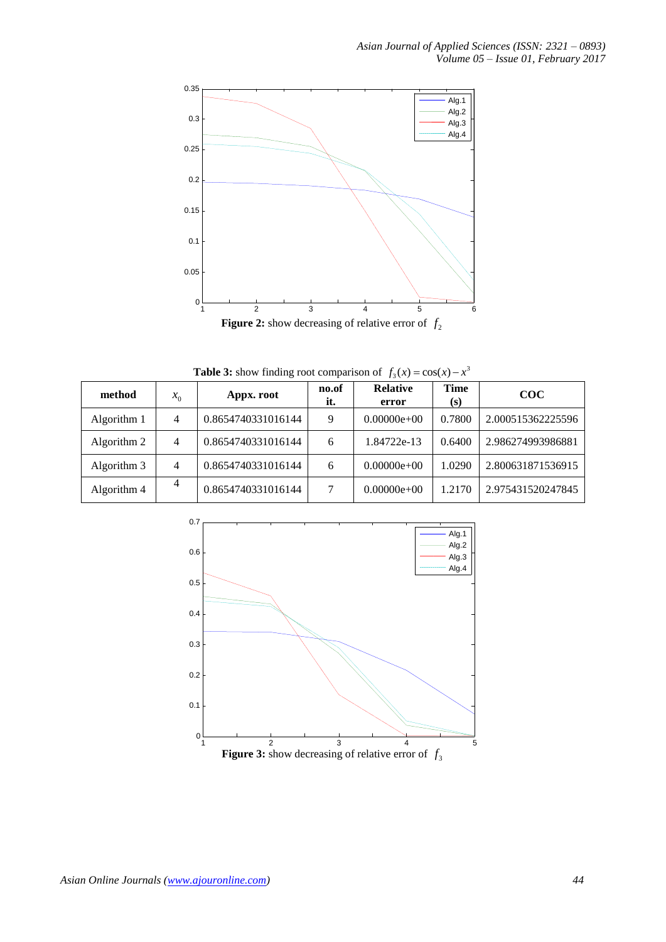

**Table 3:** show finding root comparison of  $f_3(x) = \cos(x) - x^3$ 

| method      | $x_0$ | Appx. root         | no.of<br>it. | <b>Relative</b><br>error | <b>Time</b><br>(s) | $\rm{COC}$        |
|-------------|-------|--------------------|--------------|--------------------------|--------------------|-------------------|
| Algorithm 1 | 4     | 0.8654740331016144 | 9            | $0.00000e+00$            | 0.7800             | 2.000515362225596 |
| Algorithm 2 | 4     | 0.8654740331016144 | 6            | 1.84722e-13              | 0.6400             | 2.986274993986881 |
| Algorithm 3 | 4     | 0.8654740331016144 | 6            | $0.00000e+00$            | 1.0290             | 2.800631871536915 |
| Algorithm 4 | 4     | 0.8654740331016144 | 7            | $0.00000e+00$            | 1.2170             | 2.975431520247845 |